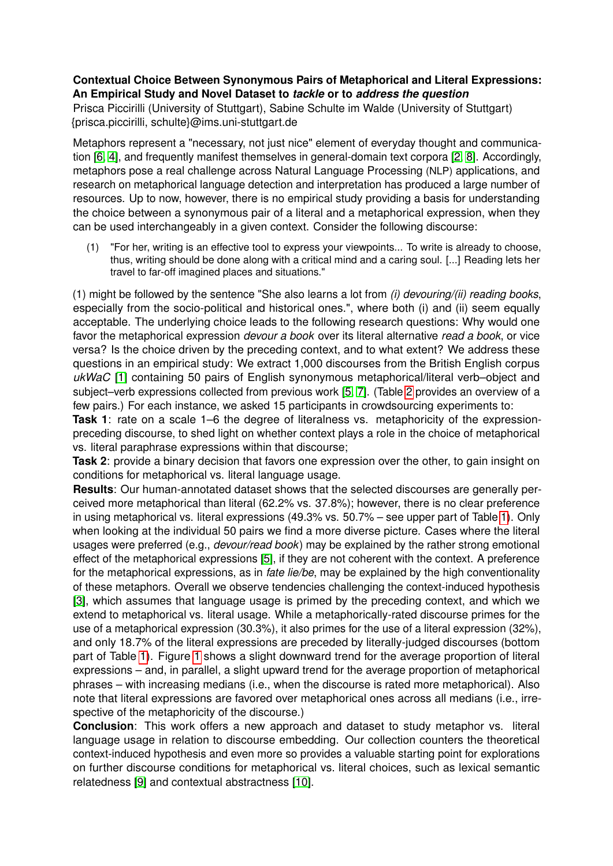## **Contextual Choice Between Synonymous Pairs of Metaphorical and Literal Expressions: An Empirical Study and Novel Dataset to** *tackle* **or to** *address the question*

Prisca Piccirilli (University of Stuttgart), Sabine Schulte im Walde (University of Stuttgart) {prisca.piccirilli, schulte}@ims.uni-stuttgart.de

Metaphors represent a "necessary, not just nice" element of everyday thought and communication [\[6,](#page-1-0) [4\]](#page-1-1), and frequently manifest themselves in general-domain text corpora [\[2,](#page-1-2) [8\]](#page-1-3). Accordingly, metaphors pose a real challenge across Natural Language Processing (NLP) applications, and research on metaphorical language detection and interpretation has produced a large number of resources. Up to now, however, there is no empirical study providing a basis for understanding the choice between a synonymous pair of a literal and a metaphorical expression, when they can be used interchangeably in a given context. Consider the following discourse:

(1) "For her, writing is an effective tool to express your viewpoints... To write is already to choose, thus, writing should be done along with a critical mind and a caring soul. [...] Reading lets her travel to far-off imagined places and situations."

(1) might be followed by the sentence "She also learns a lot from *(i) devouring/(ii) reading books*, especially from the socio-political and historical ones.", where both (i) and (ii) seem equally acceptable. The underlying choice leads to the following research questions: Why would one favor the metaphorical expression *devour a book* over its literal alternative *read a book*, or vice versa? Is the choice driven by the preceding context, and to what extent? We address these questions in an empirical study: We extract 1,000 discourses from the British English corpus *ukWaC* [\[1\]](#page-1-4) containing 50 pairs of English synonymous metaphorical/literal verb–object and subject–verb expressions collected from previous work [\[5,](#page-1-5) [7\]](#page-1-6). (Table [2](#page-1-7) provides an overview of a few pairs.) For each instance, we asked 15 participants in crowdsourcing experiments to:

**Task 1**: rate on a scale 1–6 the degree of literalness vs. metaphoricity of the expressionpreceding discourse, to shed light on whether context plays a role in the choice of metaphorical vs. literal paraphrase expressions within that discourse;

**Task 2**: provide a binary decision that favors one expression over the other, to gain insight on conditions for metaphorical vs. literal language usage.

**Results**: Our human-annotated dataset shows that the selected discourses are generally perceived more metaphorical than literal (62.2% vs. 37.8%); however, there is no clear preference in using metaphorical vs. literal expressions (49.3% vs. 50.7% – see upper part of Table [1\)](#page-1-8). Only when looking at the individual 50 pairs we find a more diverse picture. Cases where the literal usages were preferred (e.g., *devour/read book*) may be explained by the rather strong emotional effect of the metaphorical expressions [\[5\]](#page-1-5), if they are not coherent with the context. A preference for the metaphorical expressions, as in *fate lie/be*, may be explained by the high conventionality of these metaphors. Overall we observe tendencies challenging the context-induced hypothesis [\[3\]](#page-1-9), which assumes that language usage is primed by the preceding context, and which we extend to metaphorical vs. literal usage. While a metaphorically-rated discourse primes for the use of a metaphorical expression (30.3%), it also primes for the use of a literal expression (32%), and only 18.7% of the literal expressions are preceded by literally-judged discourses (bottom part of Table [1\)](#page-1-8). Figure [1](#page-1-8) shows a slight downward trend for the average proportion of literal expressions – and, in parallel, a slight upward trend for the average proportion of metaphorical phrases – with increasing medians (i.e., when the discourse is rated more metaphorical). Also note that literal expressions are favored over metaphorical ones across all medians (i.e., irrespective of the metaphoricity of the discourse.)

**Conclusion**: This work offers a new approach and dataset to study metaphor vs. literal language usage in relation to discourse embedding. Our collection counters the theoretical context-induced hypothesis and even more so provides a valuable starting point for explorations on further discourse conditions for metaphorical vs. literal choices, such as lexical semantic relatedness [\[9\]](#page-1-10) and contextual abstractness [\[10\]](#page-1-11).